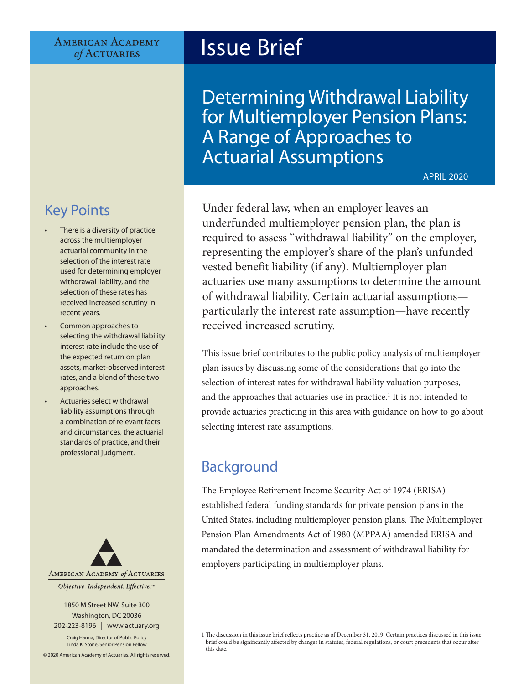#### **AMERICAN ACADEMY**  $of$  ACTUARIES

# Issue Brief

Determining Withdrawal Liability for Multiemployer Pension Plans: A Range of Approaches to Actuarial Assumptions

APRIL 2020

## Under federal law, when an employer leaves an underfunded multiemployer pension plan, the plan is required to assess "withdrawal liability" on the employer, representing the employer's share of the plan's unfunded vested benefit liability (if any). Multiemployer plan

actuaries use many assumptions to determine the amount of withdrawal liability. Certain actuarial assumptions particularly the interest rate assumption—have recently received increased scrutiny.

This issue brief contributes to the public policy analysis of multiemployer plan issues by discussing some of the considerations that go into the selection of interest rates for withdrawal liability valuation purposes, and the approaches that actuaries use in practice.<sup>1</sup> It is not intended to provide actuaries practicing in this area with guidance on how to go about selecting interest rate assumptions.

## **Background**

The Employee Retirement Income Security Act of 1974 (ERISA) established federal funding standards for private pension plans in the United States, including multiemployer pension plans. The Multiemployer Pension Plan Amendments Act of 1980 (MPPAA) amended ERISA and mandated the determination and assessment of withdrawal liability for employers participating in multiemployer plans.

## Key Points

- There is a diversity of practice across the multiemployer actuarial community in the selection of the interest rate used for determining employer withdrawal liability, and the selection of these rates has received increased scrutiny in recent years.
- Common approaches to selecting the withdrawal liability interest rate include the use of the expected return on plan assets, market-observed interest rates, and a blend of these two approaches.
- Actuaries select withdrawal liability assumptions through a combination of relevant facts and circumstances, the actuarial standards of practice, and their professional judgment.



1850 M Street NW, Suite 300 Washington, DC 20036 202-223-8196 | [www.actuary.org](http://actuary.org)

Craig Hanna, Director of Public Policy Linda K. Stone, Senior Pension Fellow

© 2020 American Academy of Actuaries. All rights reserved.

<sup>1</sup> The discussion in this issue brief reflects practice as of December 31, 2019. Certain practices discussed in this issue brief could be significantly affected by changes in statutes, federal regulations, or court precedents that occur after this date.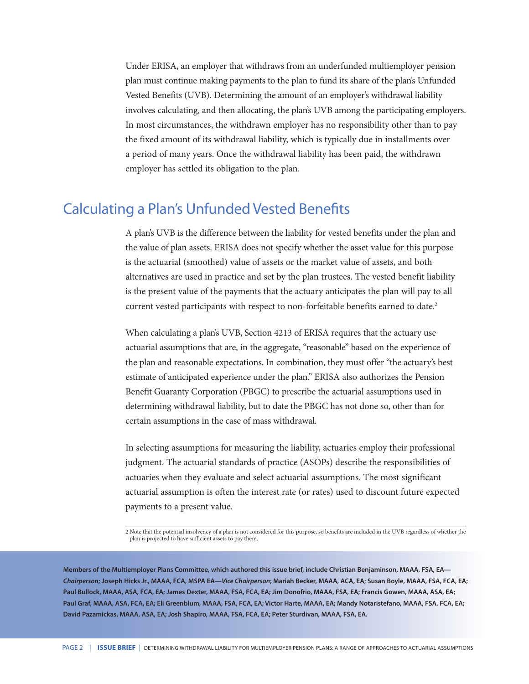Under ERISA, an employer that withdraws from an underfunded multiemployer pension plan must continue making payments to the plan to fund its share of the plan's Unfunded Vested Benefits (UVB). Determining the amount of an employer's withdrawal liability involves calculating, and then allocating, the plan's UVB among the participating employers. In most circumstances, the withdrawn employer has no responsibility other than to pay the fixed amount of its withdrawal liability, which is typically due in installments over a period of many years. Once the withdrawal liability has been paid, the withdrawn employer has settled its obligation to the plan.

### Calculating a Plan's Unfunded Vested Benefits

A plan's UVB is the difference between the liability for vested benefits under the plan and the value of plan assets. ERISA does not specify whether the asset value for this purpose is the actuarial (smoothed) value of assets or the market value of assets, and both alternatives are used in practice and set by the plan trustees. The vested benefit liability is the present value of the payments that the actuary anticipates the plan will pay to all current vested participants with respect to non-forfeitable benefits earned to date.<sup>2</sup>

When calculating a plan's UVB, Section 4213 of ERISA requires that the actuary use actuarial assumptions that are, in the aggregate, "reasonable" based on the experience of the plan and reasonable expectations. In combination, they must offer "the actuary's best estimate of anticipated experience under the plan." ERISA also authorizes the Pension Benefit Guaranty Corporation (PBGC) to prescribe the actuarial assumptions used in determining withdrawal liability, but to date the PBGC has not done so, other than for certain assumptions in the case of mass withdrawal.

In selecting assumptions for measuring the liability, actuaries employ their professional judgment. The actuarial standards of practice (ASOPs) describe the responsibilities of actuaries when they evaluate and select actuarial assumptions. The most significant actuarial assumption is often the interest rate (or rates) used to discount future expected payments to a present value.

2 Note that the potential insolvency of a plan is not considered for this purpose, so benefits are included in the UVB regardless of whether the plan is projected to have sufficient assets to pay them.

**Members of the Multiemployer Plans Committee, which authored this issue brief, include Christian Benjaminson, MAAA, FSA, EA—** *Chairperson***; Joseph Hicks Jr., MAAA, FCA, MSPA EA—***Vice Chairperson***; Mariah Becker, MAAA, ACA, EA; Susan Boyle, MAAA, FSA, FCA, EA; Paul Bullock, MAAA, ASA, FCA, EA; James Dexter, MAAA, FSA, FCA, EA; Jim Donofrio, MAAA, FSA, EA; Francis Gowen, MAAA, ASA, EA; Paul Graf, MAAA, ASA, FCA, EA; Eli Greenblum, MAAA, FSA, FCA, EA; Victor Harte, MAAA, EA; Mandy Notaristefano, MAAA, FSA, FCA, EA; David Pazamickas, MAAA, ASA, EA; Josh Shapiro, MAAA, FSA, FCA, EA; Peter Sturdivan, MAAA, FSA, EA.**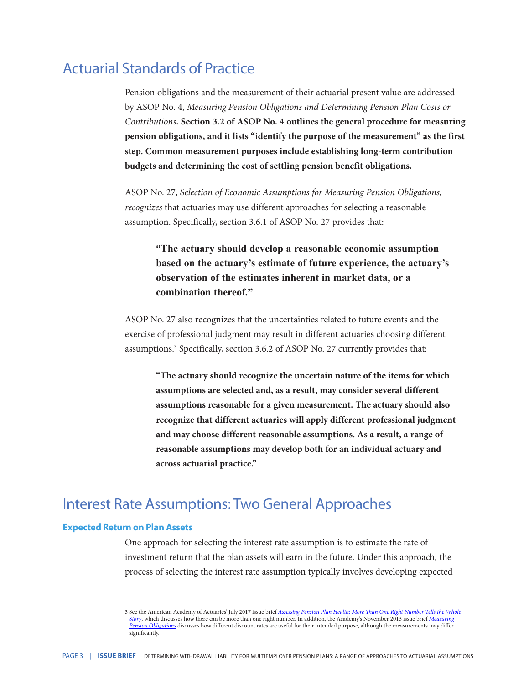### Actuarial Standards of Practice

Pension obligations and the measurement of their actuarial present value are addressed by ASOP No. 4, *Measuring Pension Obligations and Determining Pension Plan Costs or Contributions***. Section 3.2 of ASOP No. 4 outlines the general procedure for measuring pension obligations, and it lists "identify the purpose of the measurement" as the first step. Common measurement purposes include establishing long-term contribution budgets and determining the cost of settling pension benefit obligations.** 

ASOP No. 27, *Selection of Economic Assumptions for Measuring Pension Obligations, recognizes* that actuaries may use different approaches for selecting a reasonable assumption. Specifically, section 3.6.1 of ASOP No. 27 provides that:

 **"The actuary should develop a reasonable economic assumption based on the actuary's estimate of future experience, the actuary's observation of the estimates inherent in market data, or a combination thereof."**

ASOP No. 27 also recognizes that the uncertainties related to future events and the exercise of professional judgment may result in different actuaries choosing different assumptions.<sup>3</sup> Specifically, section 3.6.2 of ASOP No. 27 currently provides that:

 **"The actuary should recognize the uncertain nature of the items for which assumptions are selected and, as a result, may consider several different assumptions reasonable for a given measurement. The actuary should also recognize that different actuaries will apply different professional judgment and may choose different reasonable assumptions. As a result, a range of reasonable assumptions may develop both for an individual actuary and across actuarial practice."**

### Interest Rate Assumptions: Two General Approaches

#### **Expected Return on Plan Assets**

One approach for selecting the interest rate assumption is to estimate the rate of investment return that the plan assets will earn in the future. Under this approach, the process of selecting the interest rate assumption typically involves developing expected

<sup>3</sup> See the American Academy of Actuaries' July 2017 issue brief *[Assessing Pension Plan Health: More Than One Right Number Tells the Whole](http://www.actuary.org/files/publications/IB-RightNumber07.17.pdf)  [Story](http://www.actuary.org/files/publications/IB-RightNumber07.17.pdf)*, which discusses how there can be more than one right number. In addition, the Academy's November 2013 issue brief *[Measuring](http://www.actuary.org/files/IB_Measuring-Pension-Obligations_Nov-21-2013.pdf)  [Pension Obligations](http://www.actuary.org/files/IB_Measuring-Pension-Obligations_Nov-21-2013.pdf)* discusses how different discount rates are useful for their intended purpose, although the measurements may differ significantly.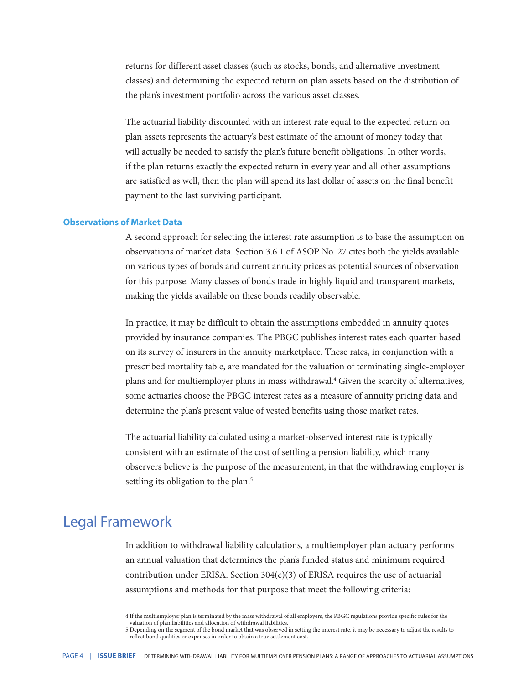returns for different asset classes (such as stocks, bonds, and alternative investment classes) and determining the expected return on plan assets based on the distribution of the plan's investment portfolio across the various asset classes.

The actuarial liability discounted with an interest rate equal to the expected return on plan assets represents the actuary's best estimate of the amount of money today that will actually be needed to satisfy the plan's future benefit obligations. In other words, if the plan returns exactly the expected return in every year and all other assumptions are satisfied as well, then the plan will spend its last dollar of assets on the final benefit payment to the last surviving participant.

#### **Observations of Market Data**

A second approach for selecting the interest rate assumption is to base the assumption on observations of market data. Section 3.6.1 of ASOP No. 27 cites both the yields available on various types of bonds and current annuity prices as potential sources of observation for this purpose. Many classes of bonds trade in highly liquid and transparent markets, making the yields available on these bonds readily observable.

In practice, it may be difficult to obtain the assumptions embedded in annuity quotes provided by insurance companies. The PBGC publishes interest rates each quarter based on its survey of insurers in the annuity marketplace. These rates, in conjunction with a prescribed mortality table, are mandated for the valuation of terminating single-employer plans and for multiemployer plans in mass withdrawal.<sup>4</sup> Given the scarcity of alternatives, some actuaries choose the PBGC interest rates as a measure of annuity pricing data and determine the plan's present value of vested benefits using those market rates.

The actuarial liability calculated using a market-observed interest rate is typically consistent with an estimate of the cost of settling a pension liability, which many observers believe is the purpose of the measurement, in that the withdrawing employer is settling its obligation to the plan.<sup>5</sup>

#### Legal Framework

In addition to withdrawal liability calculations, a multiemployer plan actuary performs an annual valuation that determines the plan's funded status and minimum required contribution under ERISA. Section  $304(c)(3)$  of ERISA requires the use of actuarial assumptions and methods for that purpose that meet the following criteria:

<sup>4</sup> If the multiemployer plan is terminated by the mass withdrawal of all employers, the PBGC regulations provide specific rules for the valuation of plan liabilities and allocation of withdrawal liabilities.

<sup>5</sup> Depending on the segment of the bond market that was observed in setting the interest rate, it may be necessary to adjust the results to reflect bond qualities or expenses in order to obtain a true settlement cost.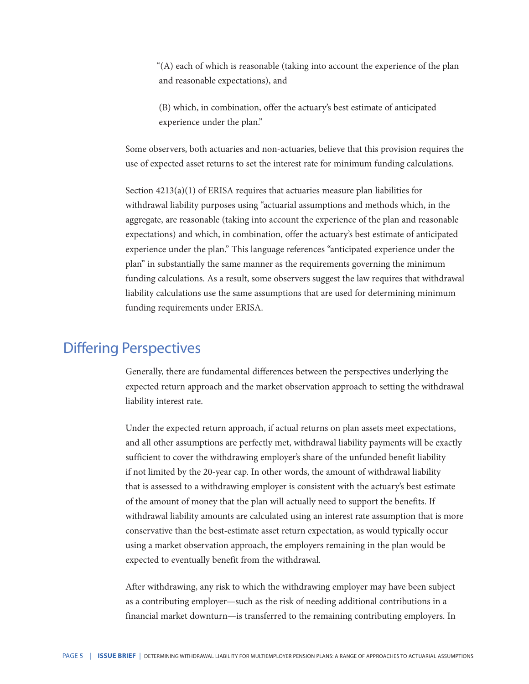"(A) each of which is reasonable (taking into account the experience of the plan and reasonable expectations), and

(B) which, in combination, offer the actuary's best estimate of anticipated experience under the plan."

Some observers, both actuaries and non-actuaries, believe that this provision requires the use of expected asset returns to set the interest rate for minimum funding calculations.

Section 4213(a)(1) of ERISA requires that actuaries measure plan liabilities for withdrawal liability purposes using "actuarial assumptions and methods which, in the aggregate, are reasonable (taking into account the experience of the plan and reasonable expectations) and which, in combination, offer the actuary's best estimate of anticipated experience under the plan." This language references "anticipated experience under the plan" in substantially the same manner as the requirements governing the minimum funding calculations. As a result, some observers suggest the law requires that withdrawal liability calculations use the same assumptions that are used for determining minimum funding requirements under ERISA.

#### Differing Perspectives

Generally, there are fundamental differences between the perspectives underlying the expected return approach and the market observation approach to setting the withdrawal liability interest rate.

Under the expected return approach, if actual returns on plan assets meet expectations, and all other assumptions are perfectly met, withdrawal liability payments will be exactly sufficient to cover the withdrawing employer's share of the unfunded benefit liability if not limited by the 20-year cap. In other words, the amount of withdrawal liability that is assessed to a withdrawing employer is consistent with the actuary's best estimate of the amount of money that the plan will actually need to support the benefits. If withdrawal liability amounts are calculated using an interest rate assumption that is more conservative than the best-estimate asset return expectation, as would typically occur using a market observation approach, the employers remaining in the plan would be expected to eventually benefit from the withdrawal.

After withdrawing, any risk to which the withdrawing employer may have been subject as a contributing employer—such as the risk of needing additional contributions in a financial market downturn—is transferred to the remaining contributing employers. In